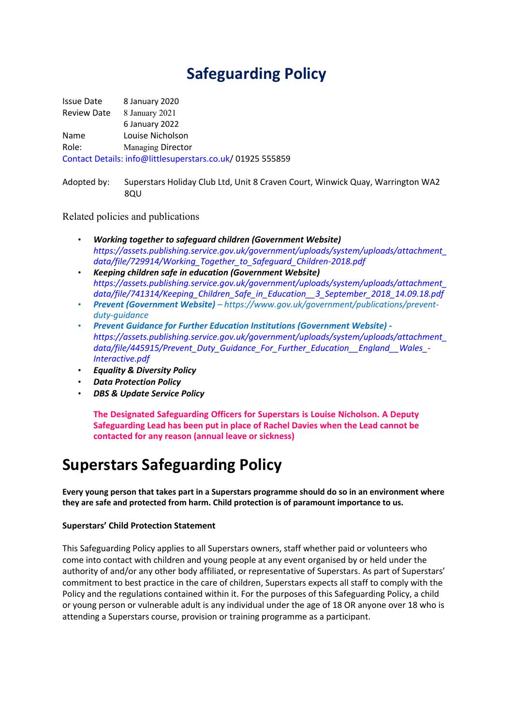# **Safeguarding Policy**

Issue Date 8 January 2020 Review Date 8 January 2021 6 January 2022 Name Louise Nicholson Role: Managing Director Contact Details: info@littlesuperstars.co.uk/ 01925 555859

Adopted by: Superstars Holiday Club Ltd, Unit 8 Craven Court, Winwick Quay, Warrington WA2 8QU

Related policies and publications

- *Working together to safeguard children (Government Website) https://assets.publishing.service.gov.uk/government/uploads/system/uploads/attachment\_ data/file/729914/Working\_Together\_to\_Safeguard\_Children-2018.pdf*
- *Keeping children safe in education (Government Website) https://assets.publishing.service.gov.uk/government/uploads/system/uploads/attachment\_ data/file/741314/Keeping\_Children\_Safe\_in\_Education\_\_3\_September\_2018\_14.09.18.pdf*
- *Prevent (Government Website) – https://www.gov.uk/government/publications/preventduty-guidance*
- *Prevent Guidance for Further Education Institutions (Government Website) https://assets.publishing.service.gov.uk/government/uploads/system/uploads/attachment\_ data/file/445915/Prevent\_Duty\_Guidance\_For\_Further\_Education\_\_England\_\_Wales\_- Interactive.pdf*
- *Equality & Diversity Policy*
- *Data Protection Policy*
- *DBS & Update Service Policy*

**The Designated Safeguarding Officers for Superstars is Louise Nicholson. A Deputy Safeguarding Lead has been put in place of Rachel Davies when the Lead cannot be contacted for any reason (annual leave or sickness)**

# **Superstars Safeguarding Policy**

**Every young person that takes part in a Superstars programme should do so in an environment where they are safe and protected from harm. Child protection is of paramount importance to us.**

#### **Superstars' Child Protection Statement**

This Safeguarding Policy applies to all Superstars owners, staff whether paid or volunteers who come into contact with children and young people at any event organised by or held under the authority of and/or any other body affiliated, or representative of Superstars. As part of Superstars' commitment to best practice in the care of children, Superstars expects all staff to comply with the Policy and the regulations contained within it. For the purposes of this Safeguarding Policy, a child or young person or vulnerable adult is any individual under the age of 18 OR anyone over 18 who is attending a Superstars course, provision or training programme as a participant.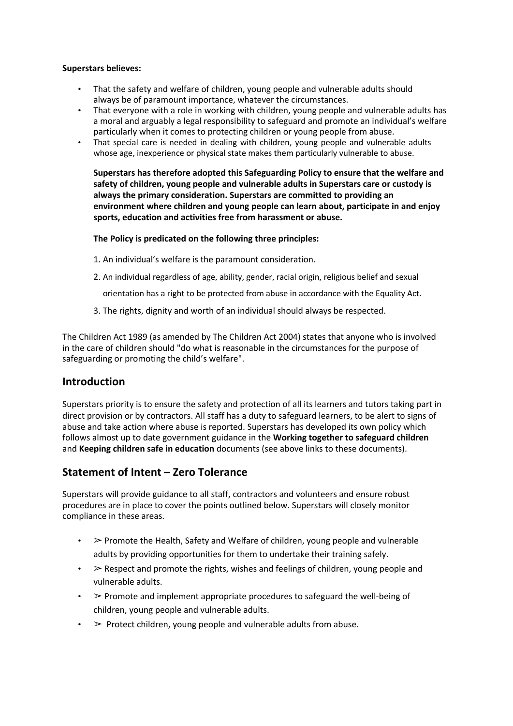#### **Superstars believes:**

- That the safety and welfare of children, young people and vulnerable adults should always be of paramount importance, whatever the circumstances.
- That everyone with a role in working with children, young people and vulnerable adults has a moral and arguably a legal responsibility to safeguard and promote an individual's welfare particularly when it comes to protecting children or young people from abuse.
- That special care is needed in dealing with children, young people and vulnerable adults whose age, inexperience or physical state makes them particularly vulnerable to abuse.

**Superstars has therefore adopted this Safeguarding Policy to ensure that the welfare and safety of children, young people and vulnerable adults in Superstars care or custody is always the primary consideration. Superstars are committed to providing an environment where children and young people can learn about, participate in and enjoy sports, education and activities free from harassment or abuse.**

**The Policy is predicated on the following three principles:**

- 1. An individual's welfare is the paramount consideration.
- 2. An individual regardless of age, ability, gender, racial origin, religious belief and sexual

orientation has a right to be protected from abuse in accordance with the Equality Act.

3. The rights, dignity and worth of an individual should always be respected.

The Children Act 1989 (as amended by The Children Act 2004) states that anyone who is involved in the care of children should "do what is reasonable in the circumstances for the purpose of safeguarding or promoting the child's welfare".

### **Introduction**

Superstars priority is to ensure the safety and protection of all its learners and tutors taking part in direct provision or by contractors. All staff has a duty to safeguard learners, to be alert to signs of abuse and take action where abuse is reported. Superstars has developed its own policy which follows almost up to date government guidance in the **Working together to safeguard children** and **Keeping children safe in education** documents (see above links to these documents).

### **Statement of Intent – Zero Tolerance**

Superstars will provide guidance to all staff, contractors and volunteers and ensure robust procedures are in place to cover the points outlined below. Superstars will closely monitor compliance in these areas.

- $\geq$  Promote the Health, Safety and Welfare of children, young people and vulnerable adults by providing opportunities for them to undertake their training safely.
- $\geq$  Respect and promote the rights, wishes and feelings of children, young people and vulnerable adults.
- $\triangleright$  Promote and implement appropriate procedures to safeguard the well-being of children, young people and vulnerable adults.
- $\triangleright$  Protect children, young people and vulnerable adults from abuse.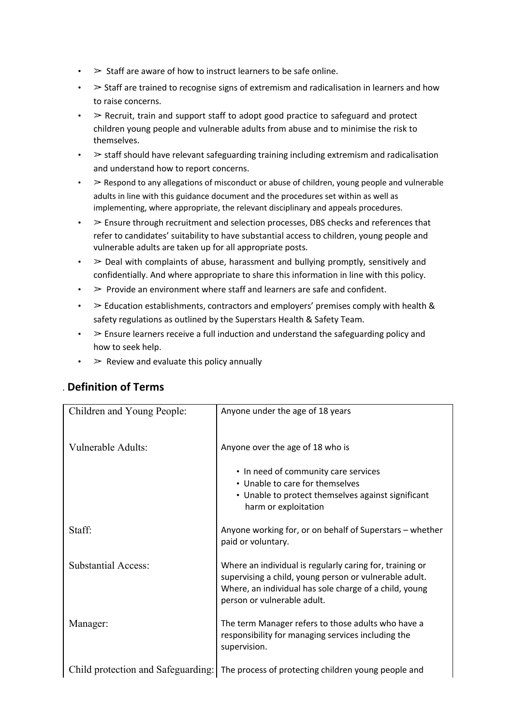- $\cdot$  > Staff are aware of how to instruct learners to be safe online.
- $\geq$  Staff are trained to recognise signs of extremism and radicalisation in learners and how to raise concerns.
- $\triangleright$  Recruit, train and support staff to adopt good practice to safeguard and protect children young people and vulnerable adults from abuse and to minimise the risk to themselves.
- $\triangleright$  staff should have relevant safeguarding training including extremism and radicalisation and understand how to report concerns.
- $\triangleright$  Respond to any allegations of misconduct or abuse of children, young people and vulnerable adults in line with this guidance document and the procedures set within as well as implementing, where appropriate, the relevant disciplinary and appeals procedures.
- $\ge$  Ensure through recruitment and selection processes. DBS checks and references that refer to candidates' suitability to have substantial access to children, young people and vulnerable adults are taken up for all appropriate posts.
- $\geq$  Deal with complaints of abuse, harassment and bullying promptly, sensitively and confidentially. And where appropriate to share this information in line with this policy.
- $\triangleright$  Provide an environment where staff and learners are safe and confident.
- $\geq$  Education establishments, contractors and employers' premises comply with health & safety regulations as outlined by the Superstars Health & Safety Team.
- $\ge$  Ensure learners receive a full induction and understand the safeguarding policy and how to seek help.
- $\cdot$   $>$  Review and evaluate this policy annually

| Children and Young People: | Anyone under the age of 18 years                                                                                                                                                                            |
|----------------------------|-------------------------------------------------------------------------------------------------------------------------------------------------------------------------------------------------------------|
| Vulnerable Adults:         | Anyone over the age of 18 who is                                                                                                                                                                            |
|                            | • In need of community care services<br>• Unable to care for themselves<br>• Unable to protect themselves against significant<br>harm or exploitation                                                       |
| Staff:                     | Anyone working for, or on behalf of Superstars - whether<br>paid or voluntary.                                                                                                                              |
| <b>Substantial Access:</b> | Where an individual is regularly caring for, training or<br>supervising a child, young person or vulnerable adult.<br>Where, an individual has sole charge of a child, young<br>person or vulnerable adult. |
| Manager:                   | The term Manager refers to those adults who have a<br>responsibility for managing services including the<br>supervision.                                                                                    |
|                            | Child protection and Safeguarding: The process of protecting children young people and                                                                                                                      |

### . **Definition of Terms**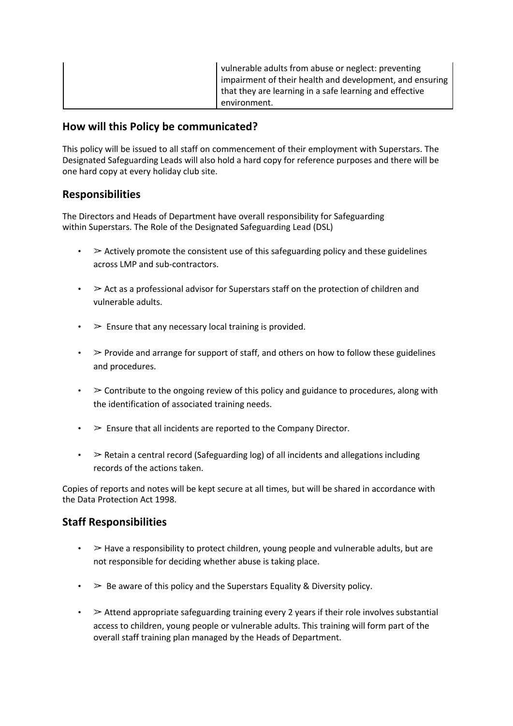| vulnerable adults from abuse or neglect: preventing      |
|----------------------------------------------------------|
| impairment of their health and development, and ensuring |
| that they are learning in a safe learning and effective  |
| environment.                                             |

### **How will this Policy be communicated?**

This policy will be issued to all staff on commencement of their employment with Superstars. The Designated Safeguarding Leads will also hold a hard copy for reference purposes and there will be one hard copy at every holiday club site.

### **Responsibilities**

The Directors and Heads of Department have overall responsibility for Safeguarding within Superstars. The Role of the Designated Safeguarding Lead (DSL)

- $\geq$  Actively promote the consistent use of this safeguarding policy and these guidelines across LMP and sub-contractors.
- $\geq$  Act as a professional advisor for Superstars staff on the protection of children and vulnerable adults.
- $\cdot$   $\geq$  Ensure that any necessary local training is provided.
- $\cdot$   $\triangleright$  Provide and arrange for support of staff, and others on how to follow these guidelines and procedures.
- $\geq$  Contribute to the ongoing review of this policy and guidance to procedures, along with the identification of associated training needs.
- $\cdot$   $\triangleright$  Ensure that all incidents are reported to the Company Director.
- $\geq$  Retain a central record (Safeguarding log) of all incidents and allegations including records of the actions taken.

Copies of reports and notes will be kept secure at all times, but will be shared in accordance with the Data Protection Act 1998.

### **Staff Responsibilities**

- $\cdot$   $\geq$  Have a responsibility to protect children, young people and vulnerable adults, but are not responsible for deciding whether abuse is taking place.
- $\cdot$   $\triangleright$  Be aware of this policy and the Superstars Equality & Diversity policy.
- $\bullet \quad$   $\triangleright$  Attend appropriate safeguarding training every 2 years if their role involves substantial access to children, young people or vulnerable adults. This training will form part of the overall staff training plan managed by the Heads of Department.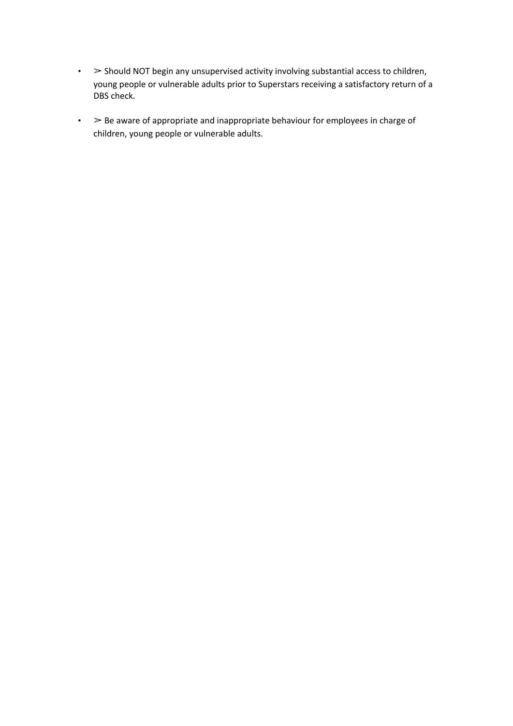- $\cdot$   $>$  Should NOT begin any unsupervised activity involving substantial access to children, young people or vulnerable adults prior to Superstars receiving a satisfactory return of a DBS check.
- $\cdot$   $>$  Be aware of appropriate and inappropriate behaviour for employees in charge of children, young people or vulnerable adults.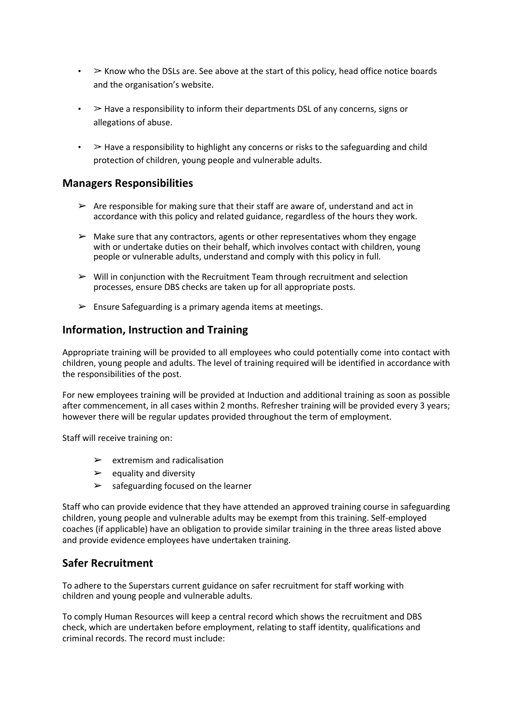- $\bullet$   $\geq$  Know who the DSLs are. See above at the start of this policy, head office notice boards and the organisation's website.
- $\cdot$   $\geq$  Have a responsibility to inform their departments DSL of any concerns, signs or allegations of abuse.
- $\triangleright$  Have a responsibility to highlight any concerns or risks to the safeguarding and child protection of children, young people and vulnerable adults.

### **Managers Responsibilities**

- $\triangleright$  Are responsible for making sure that their staff are aware of, understand and act in accordance with this policy and related guidance, regardless of the hours they work.
- $\triangleright$  Make sure that any contractors, agents or other representatives whom they engage with or undertake duties on their behalf, which involves contact with children, young people or vulnerable adults, understand and comply with this policy in full.
- $\triangleright$  Will in conjunction with the Recruitment Team through recruitment and selection processes, ensure DBS checks are taken up for all appropriate posts.
- $\triangleright$  Ensure Safeguarding is a primary agenda items at meetings.

### **Information, Instruction and Training**

Appropriate training will be provided to all employees who could potentially come into contact with children, young people and adults. The level of training required will be identified in accordance with the responsibilities of the post.

For new employees training will be provided at Induction and additional training as soon as possible after commencement, in all cases within 2 months. Refresher training will be provided every 3 years; however there will be regular updates provided throughout the term of employment.

Staff will receive training on:

- $\triangleright$  extremism and radicalisation
- $\triangleright$  equality and diversity
- $\triangleright$  safeguarding focused on the learner

Staff who can provide evidence that they have attended an approved training course in safeguarding children, young people and vulnerable adults may be exempt from this training. Self-employed coaches (if applicable) have an obligation to provide similar training in the three areas listed above and provide evidence employees have undertaken training.

### **Safer Recruitment**

To adhere to the Superstars current guidance on safer recruitment for staff working with children and young people and vulnerable adults.

To comply Human Resources will keep a central record which shows the recruitment and DBS check, which are undertaken before employment, relating to staff identity, qualifications and criminal records. The record must include: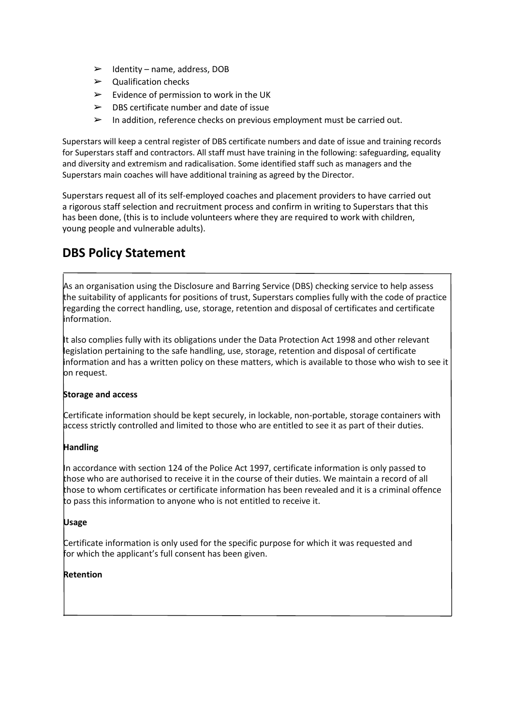- $\blacktriangleright$  Identity name, address, DOB
- $\triangleright$  Qualification checks
- $\triangleright$  Evidence of permission to work in the UK
- $\triangleright$  DBS certificate number and date of issue
- $\triangleright$  In addition, reference checks on previous employment must be carried out.

Superstars will keep a central register of DBS certificate numbers and date of issue and training records for Superstars staff and contractors. All staff must have training in the following: safeguarding, equality and diversity and extremism and radicalisation. Some identified staff such as managers and the Superstars main coaches will have additional training as agreed by the Director.

Superstars request all of its self-employed coaches and placement providers to have carried out a rigorous staff selection and recruitment process and confirm in writing to Superstars that this has been done, (this is to include volunteers where they are required to work with children, young people and vulnerable adults).

## **DBS Policy Statement**

As an organisation using the Disclosure and Barring Service (DBS) checking service to help assess the suitability of applicants for positions of trust, Superstars complies fully with the code of practice regarding the correct handling, use, storage, retention and disposal of certificates and certificate information.

It also complies fully with its obligations under the Data Protection Act 1998 and other relevant legislation pertaining to the safe handling, use, storage, retention and disposal of certificate information and has a written policy on these matters, which is available to those who wish to see it on request.

### **Storage and access**

Certificate information should be kept securely, in lockable, non-portable, storage containers with access strictly controlled and limited to those who are entitled to see it as part of their duties.

### **Handling**

In accordance with section 124 of the Police Act 1997, certificate information is only passed to those who are authorised to receive it in the course of their duties. We maintain a record of all those to whom certificates or certificate information has been revealed and it is a criminal offence to pass this information to anyone who is not entitled to receive it.

#### **Usage**

Certificate information is only used for the specific purpose for which it was requested and for which the applicant's full consent has been given.

#### **Retention**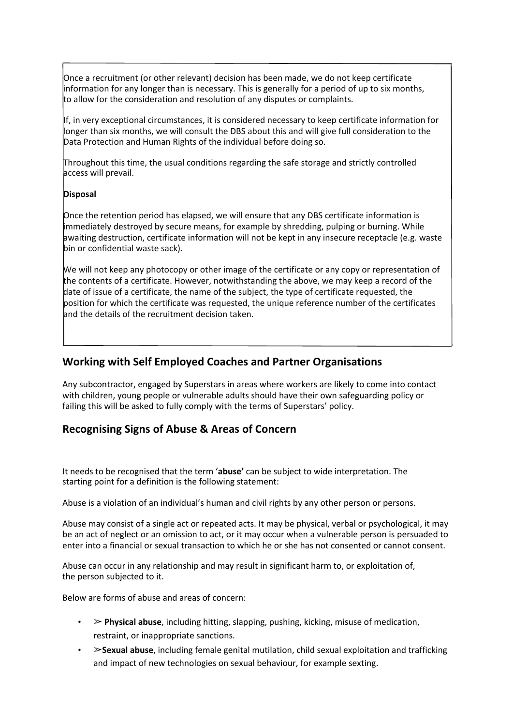Once a recruitment (or other relevant) decision has been made, we do not keep certificate information for any longer than is necessary. This is generally for a period of up to six months, to allow for the consideration and resolution of any disputes or complaints.

If, in very exceptional circumstances, it is considered necessary to keep certificate information for longer than six months, we will consult the DBS about this and will give full consideration to the Data Protection and Human Rights of the individual before doing so.

Throughout this time, the usual conditions regarding the safe storage and strictly controlled access will prevail.

#### **Disposal**

Once the retention period has elapsed, we will ensure that any DBS certificate information is immediately destroyed by secure means, for example by shredding, pulping or burning. While awaiting destruction, certificate information will not be kept in any insecure receptacle (e.g. waste bin or confidential waste sack).

We will not keep any photocopy or other image of the certificate or any copy or representation of the contents of a certificate. However, notwithstanding the above, we may keep a record of the date of issue of a certificate, the name of the subject, the type of certificate requested, the position for which the certificate was requested, the unique reference number of the certificates and the details of the recruitment decision taken.

### **Working with Self Employed Coaches and Partner Organisations**

Any subcontractor, engaged by Superstars in areas where workers are likely to come into contact with children, young people or vulnerable adults should have their own safeguarding policy or failing this will be asked to fully comply with the terms of Superstars' policy.

### **Recognising Signs of Abuse & Areas of Concern**

It needs to be recognised that the term '**abuse'** can be subject to wide interpretation. The starting point for a definition is the following statement:

Abuse is a violation of an individual's human and civil rights by any other person or persons.

Abuse may consist of a single act or repeated acts. It may be physical, verbal or psychological, it may be an act of neglect or an omission to act, or it may occur when a vulnerable person is persuaded to enter into a financial or sexual transaction to which he or she has not consented or cannot consent.

Abuse can occur in any relationship and may result in significant harm to, or exploitation of, the person subjected to it.

Below are forms of abuse and areas of concern:

- $\triangleright$  **Physical abuse**, including hitting, slapping, pushing, kicking, misuse of medication, restraint, or inappropriate sanctions.
- !**Sexual abuse**, including female genital mutilation, child sexual exploitation and trafficking and impact of new technologies on sexual behaviour, for example sexting.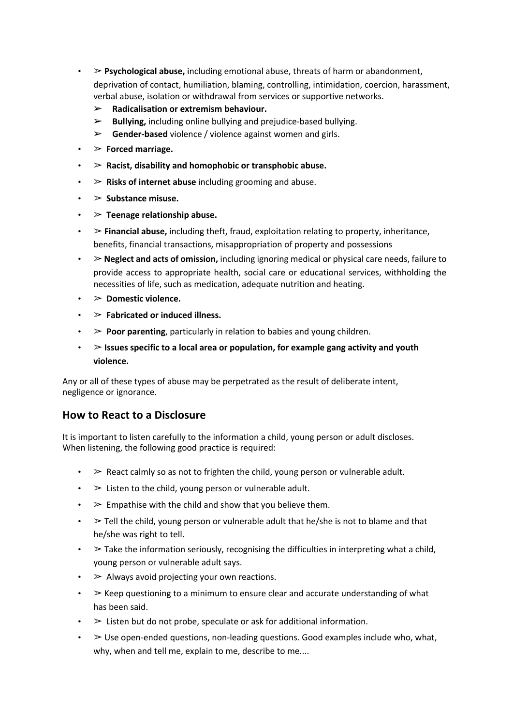- $\triangleright$  **Psychological abuse,** including emotional abuse, threats of harm or abandonment, deprivation of contact, humiliation, blaming, controlling, intimidation, coercion, harassment, verbal abuse, isolation or withdrawal from services or supportive networks.
	- ➢ **Radicalisation or extremism behaviour.**
	- ➢ **Bullying,** including online bullying and prejudice-based bullying.
	- ➢ **Gender-based** violence / violence against women and girls.
- ! **Forced marriage.**
- $\geq$  Racist, disability and homophobic or transphobic abuse.
- ! **Risks of internet abuse** including grooming and abuse.
- $\cdot$   $>$  Substance misuse.
- $\geq$  Teenage relationship abuse.
- $\triangleright$  **Financial abuse,** including theft, fraud, exploitation relating to property, inheritance, benefits, financial transactions, misappropriation of property and possessions
- ! **Neglect and acts of omission,** including ignoring medical or physical care needs, failure to provide access to appropriate health, social care or educational services, withholding the necessities of life, such as medication, adequate nutrition and heating.
- ! **Domestic violence.**
- ! **Fabricated or induced illness.**
- $\geq$  **Poor parenting**, particularly in relation to babies and young children.
- ! **Issues specific to a local area or population, for example gang activity and youth violence.**

Any or all of these types of abuse may be perpetrated as the result of deliberate intent, negligence or ignorance.

### **How to React to a Disclosure**

It is important to listen carefully to the information a child, young person or adult discloses. When listening, the following good practice is required:

- $\cdot$   $\geq$  React calmly so as not to frighten the child, young person or vulnerable adult.
- $\cdot$   $\triangleright$  Listen to the child, young person or vulnerable adult.
- $\cdot$   $\geq$  Empathise with the child and show that you believe them.
- $\cdot$  > Tell the child, young person or vulnerable adult that he/she is not to blame and that he/she was right to tell.
- $\bullet$  > Take the information seriously, recognising the difficulties in interpreting what a child, young person or vulnerable adult says.
- $\cdot$   $\geq$  Always avoid projecting your own reactions.
- $\cdot$   $\geq$  Keep questioning to a minimum to ensure clear and accurate understanding of what has been said.
- $\geq$  Listen but do not probe, speculate or ask for additional information.
- $\cdot$   $\geq$  Use open-ended questions, non-leading questions. Good examples include who, what, why, when and tell me, explain to me, describe to me....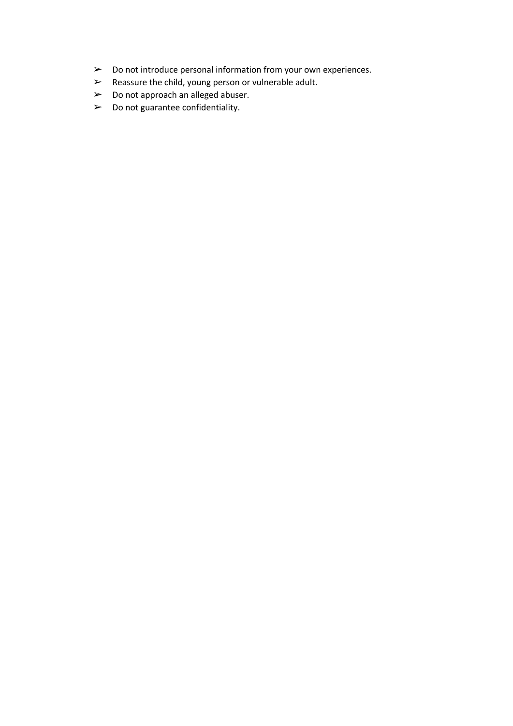- ➢ Do not introduce personal information from your own experiences.
- ➢ Reassure the child, young person or vulnerable adult.
- ➢ Do not approach an alleged abuser.
- $\triangleright$  Do not guarantee confidentiality.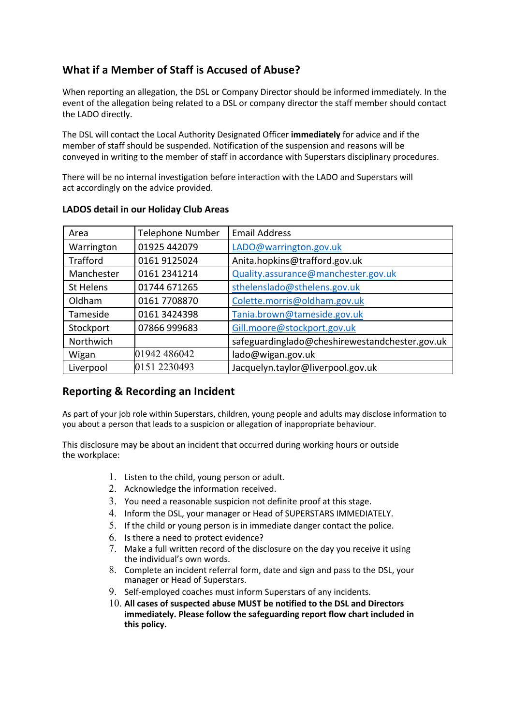### **What if a Member of Staff is Accused of Abuse?**

When reporting an allegation, the DSL or Company Director should be informed immediately. In the event of the allegation being related to a DSL or company director the staff member should contact the LADO directly.

The DSL will contact the Local Authority Designated Officer **immediately** for advice and if the member of staff should be suspended. Notification of the suspension and reasons will be conveyed in writing to the member of staff in accordance with Superstars disciplinary procedures.

There will be no internal investigation before interaction with the LADO and Superstars will act accordingly on the advice provided.

| Area            | <b>Telephone Number</b> | <b>Email Address</b>                           |
|-----------------|-------------------------|------------------------------------------------|
| Warrington      | 01925 442079            | LADO@warrington.gov.uk                         |
| <b>Trafford</b> | 0161 9125024            | Anita.hopkins@trafford.gov.uk                  |
| Manchester      | 0161 2341214            | Quality.assurance@manchester.gov.uk            |
| St Helens       | 01744 671265            | sthelenslado@sthelens.gov.uk                   |
| Oldham          | 0161 7708870            | Colette.morris@oldham.gov.uk                   |
| Tameside        | 0161 3424398            | Tania.brown@tameside.gov.uk                    |
| Stockport       | 07866 999683            | Gill.moore@stockport.gov.uk                    |
| Northwich       |                         | safeguardinglado@cheshirewestandchester.gov.uk |
| Wigan           | 01942 486042            | lado@wigan.gov.uk                              |
| Liverpool       | 0151 2230493            | Jacquelyn.taylor@liverpool.gov.uk              |

### **LADOS detail in our Holiday Club Areas**

### **Reporting & Recording an Incident**

As part of your job role within Superstars, children, young people and adults may disclose information to you about a person that leads to a suspicion or allegation of inappropriate behaviour.

This disclosure may be about an incident that occurred during working hours or outside the workplace:

- 1. Listen to the child, young person or adult.
- 2. Acknowledge the information received.
- 3. You need a reasonable suspicion not definite proof at this stage.
- 4. Inform the DSL, your manager or Head of SUPERSTARS IMMEDIATELY.
- 5. If the child or young person is in immediate danger contact the police.
- 6. Is there a need to protect evidence?
- 7. Make a full written record of the disclosure on the day you receive it using the individual's own words.
- 8. Complete an incident referral form, date and sign and pass to the DSL, your manager or Head of Superstars.
- 9. Self-employed coaches must inform Superstars of any incidents.
- 10. **All cases of suspected abuse MUST be notified to the DSL and Directors immediately. Please follow the safeguarding report flow chart included in this policy.**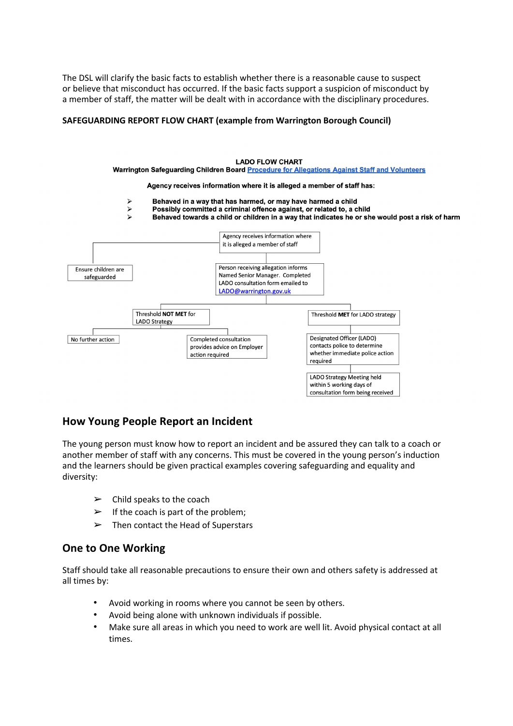The DSL will clarify the basic facts to establish whether there is a reasonable cause to suspect or believe that misconduct has occurred. If the basic facts support a suspicion of misconduct by a member of staff, the matter will be dealt with in accordance with the disciplinary procedures.

#### **SAFEGUARDING REPORT FLOW CHART (example from Warrington Borough Council)**



### **How Young People Report an Incident**

The young person must know how to report an incident and be assured they can talk to a coach or another member of staff with any concerns. This must be covered in the young person's induction and the learners should be given practical examples covering safeguarding and equality and diversity:

- $\triangleright$  Child speaks to the coach
- $\triangleright$  If the coach is part of the problem;
- $\triangleright$  Then contact the Head of Superstars

### **One to One Working**

Staff should take all reasonable precautions to ensure their own and others safety is addressed at all times by:

- Avoid working in rooms where you cannot be seen by others.
- Avoid being alone with unknown individuals if possible.
- Make sure all areas in which you need to work are well lit. Avoid physical contact at all times.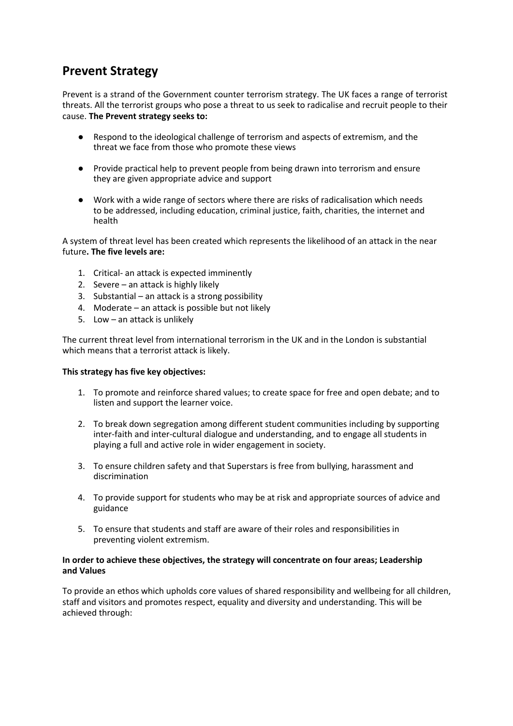## **Prevent Strategy**

Prevent is a strand of the Government counter terrorism strategy. The UK faces a range of terrorist threats. All the terrorist groups who pose a threat to us seek to radicalise and recruit people to their cause. **The Prevent strategy seeks to:**

- Respond to the ideological challenge of terrorism and aspects of extremism, and the threat we face from those who promote these views
- Provide practical help to prevent people from being drawn into terrorism and ensure they are given appropriate advice and support
- Work with a wide range of sectors where there are risks of radicalisation which needs to be addressed, including education, criminal justice, faith, charities, the internet and health

A system of threat level has been created which represents the likelihood of an attack in the near future**. The five levels are:**

- 1. Critical- an attack is expected imminently
- 2. Severe an attack is highly likely
- 3. Substantial an attack is a strong possibility
- 4. Moderate an attack is possible but not likely
- 5. Low an attack is unlikely

The current threat level from international terrorism in the UK and in the London is substantial which means that a terrorist attack is likely.

#### **This strategy has five key objectives:**

- 1. To promote and reinforce shared values; to create space for free and open debate; and to listen and support the learner voice.
- 2. To break down segregation among different student communities including by supporting inter-faith and inter-cultural dialogue and understanding, and to engage all students in playing a full and active role in wider engagement in society.
- 3. To ensure children safety and that Superstars is free from bullying, harassment and discrimination
- 4. To provide support for students who may be at risk and appropriate sources of advice and guidance
- 5. To ensure that students and staff are aware of their roles and responsibilities in preventing violent extremism.

#### **In order to achieve these objectives, the strategy will concentrate on four areas; Leadership and Values**

To provide an ethos which upholds core values of shared responsibility and wellbeing for all children, staff and visitors and promotes respect, equality and diversity and understanding. This will be achieved through: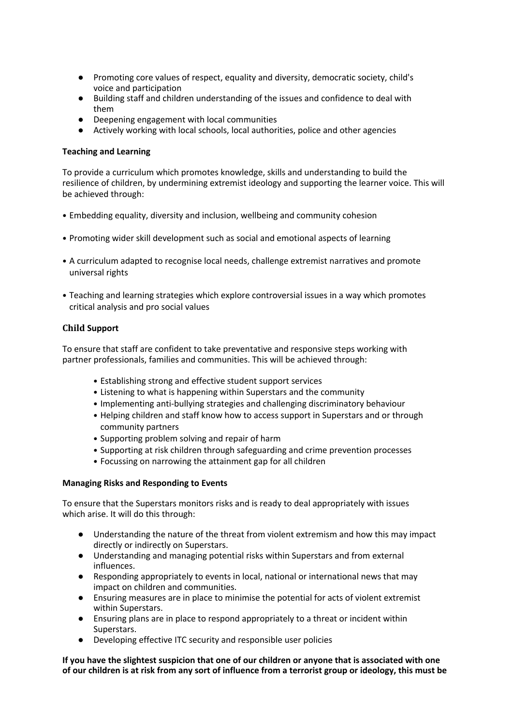- Promoting core values of respect, equality and diversity, democratic society, child's voice and participation
- Building staff and children understanding of the issues and confidence to deal with them
- Deepening engagement with local communities
- Actively working with local schools, local authorities, police and other agencies

#### **Teaching and Learning**

To provide a curriculum which promotes knowledge, skills and understanding to build the resilience of children, by undermining extremist ideology and supporting the learner voice. This will be achieved through:

- Embedding equality, diversity and inclusion, wellbeing and community cohesion
- Promoting wider skill development such as social and emotional aspects of learning
- A curriculum adapted to recognise local needs, challenge extremist narratives and promote universal rights
- Teaching and learning strategies which explore controversial issues in a way which promotes critical analysis and pro social values

#### **Child Support**

To ensure that staff are confident to take preventative and responsive steps working with partner professionals, families and communities. This will be achieved through:

- Establishing strong and effective student support services
- Listening to what is happening within Superstars and the community
- Implementing anti-bullying strategies and challenging discriminatory behaviour
- Helping children and staff know how to access support in Superstars and or through community partners
- Supporting problem solving and repair of harm
- Supporting at risk children through safeguarding and crime prevention processes
- Focussing on narrowing the attainment gap for all children

#### **Managing Risks and Responding to Events**

To ensure that the Superstars monitors risks and is ready to deal appropriately with issues which arise. It will do this through:

- Understanding the nature of the threat from violent extremism and how this may impact directly or indirectly on Superstars.
- Understanding and managing potential risks within Superstars and from external influences.
- Responding appropriately to events in local, national or international news that may impact on children and communities.
- Ensuring measures are in place to minimise the potential for acts of violent extremist within Superstars.
- Ensuring plans are in place to respond appropriately to a threat or incident within Superstars.
- Developing effective ITC security and responsible user policies

#### **If you have the slightest suspicion that one of our children or anyone that is associated with one of our children is at risk from any sort of influence from a terrorist group or ideology, this must be**